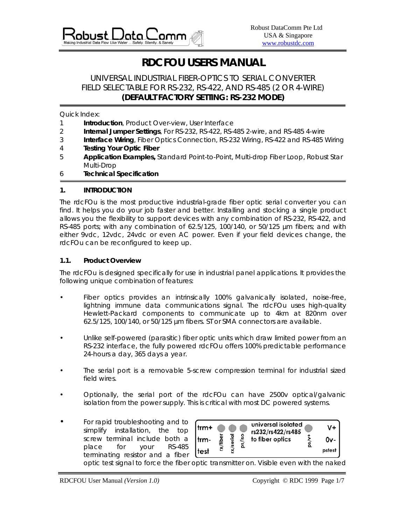

# **RDCFOU USERS MANUAL**

## UNIVERSAL INDUSTRIAL FIBER-OPTICS TO SERIAL CONVERTER FIELD SELECTABLE FOR RS-232, RS-422, AND RS-485 (2 OR 4-WIRE) **(DEFAULT FACTORY SETTING: RS-232 MODE)**

Quick Index:

- 1 **Introduction**, Product Over-view, User Interface
- 2 **Internal Jumper Settings**, For RS-232, RS-422, RS-485 2-wire, and RS-485 4-wire
- 3 **Interface Wiring**, Fiber Optics Connection, RS-232 Wiring, RS-422 and RS-485 Wiring
- 4 **Testing Your Optic Fiber**
- 5 **Application Examples,** Standard Point-to-Point, Multi-drop Fiber Loop, Robust Star Multi-Drop
- 6 **Technical Specification**

#### **1. INTRODUCTION**

The rdcFOu is the most productive industrial-grade fiber optic serial converter you can find. It helps you do your job faster and better. Installing and stocking a single product allows you the flexibility to support devices with any combination of RS-232, RS-422, and RS-485 ports; with any combination of 62.5/125, 100/140, or 50/125 µm fibers; and with either 9vdc, 12vdc, 24vdc or even AC power. Even if your field devices change, the rdcFOu can be reconfigured to keep up.

#### **1.1. Product Overview**

The rdcFOu is designed specifically for use in industrial panel applications. It provides the following unique combination of features:

- Fiber optics provides an intrinsically 100% galvanically isolated, noise-free, lightning immune data communications signal. The rdcFOu uses high-quality Hewlett-Packard components to communicate up to 4km at 820nm over 62.5/125, 100/140, or 50/125 µm fibers. ST or SMA connectors are available.
- Unlike self-powered (parasitic) fiber optic units which draw limited power from an RS-232 interface, the fully powered rdcFOu offers 100% predictable performance 24-hours a day, 365 days a year.
- The serial port is a removable 5-screw compression terminal for industrial sized field wires.
- Optionally, the serial port of the rdcFOu can have 2500v optical/galvanic isolation from the power supply. This is critical with most DC powered systems.
- For rapid troubleshooting and to simplify installation, the top screw terminal include both a place for your RS-485 terminating resistor and a fiber



optic test signal to force the fiber optic transmitter on. Visible even with the naked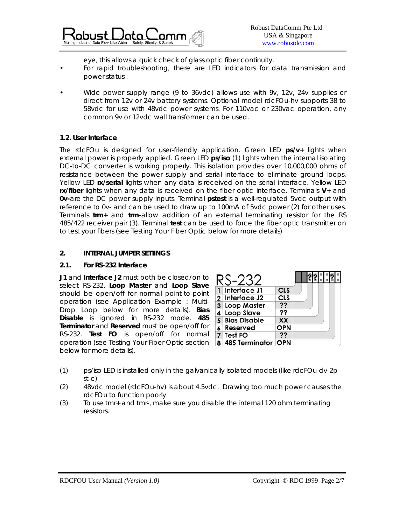

eye, this allows a quick check of glass optic fiber continuity.

- For rapid troubleshooting, there are LED indicators for data transmission and power status .
- Wide power supply range (9 to 36vdc) allows use with 9v, 12v, 24v supplies or direct from 12v or 24v battery systems. Optional model rdcFOu-hv supports 38 to 58vdc for use with 48vdc power systems. For 110vac or 230vac operation, any common 9v or 12vdc wall transformer can be used.

#### **1.2. User Interface**

The rdcFOu is designed for user-friendly application. Green LED **ps/v+** lights when external power is properly applied. Green LED **ps/iso** (1) lights when the internal isolating DC-to-DC converter is working properly. This isolation provides over 10,000,000 ohms of resistance between the power supply and serial interface to eliminate ground loops. Yellow LED **rx/serial** lights when any data is received on the serial interface. Yellow LED **rx/fiber** lights when any data is received on the fiber optic interface. Terminals **V+** and **0v-**are the DC power supply inputs. Terminal **pstest** is a well-regulated 5vdc output with reference to 0v- and can be used to draw up to 100mA of 5vdc power (2) for other uses. Terminals **trm+** and **trm-**allow addition of an external terminating resistor for the RS 485/422 receiver pair (3). Terminal **test** can be used to force the fiber optic transmitter on to test your fibers (see *Testing Your Fiber Optic* below for more details)

## **2. INTERNAL JUMPER SETTINGS**

#### **2.1. For RS-232 Interface**

**J1** and **Interface J2** must both be closed/on to select RS-232. **Loop Master** and **Loop Slave** should be open/off for normal point-to-point operation (see *Application Example : Multi-Drop Loop* below for more details). **Bias Disable** is ignored in RS-232 mode. **485 Terminator** and **Reserved** must be open/off for RS-232. **Test FO** is open/off for normal operation (see *Testing Your Fiber Optic* section below for more details).



- (1) ps/iso LED is installed only in the galvanically isolated models (like rdcFOu-dv-2pst-c)
- (2) 48vdc model (rdcFOu-hv) is about 4.5vdc. Drawing too much power causes the rdcFOu to function poorly.
- (3) To use tmr+ and tmr-, make sure you disable the internal 120 ohm terminating resistors.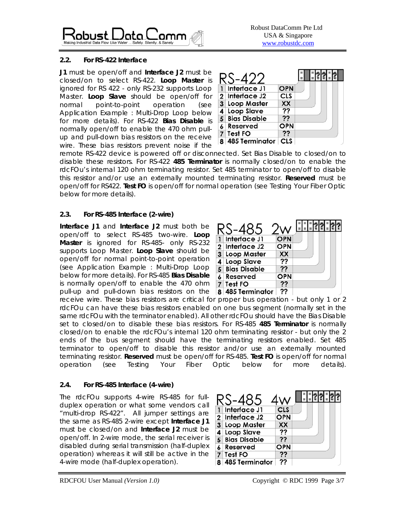

## **2.2. For RS-422 Interface**

**J1** must be open/off and **Interface J2** must be closed/on to select RS-422. **Loop Master** is ignored for RS 422 - only RS-232 supports Loop Master. **Loop Slave** should be open/off for normal point-to-point operation (see *Application Example : Multi-Drop Loop* below for more details). For RS-422 **Bias Disable** is normally open/off to enable the 470 ohm pullup and pull-down bias resistors on the receive wire. These bias resistors prevent noise if the

|   | Interface J1        | <b>OPN</b> |  |  |  |  |
|---|---------------------|------------|--|--|--|--|
|   | 2 Interface J2      | CLS        |  |  |  |  |
| 3 | Loop Master         | XX         |  |  |  |  |
|   | 4 Loop Slave        | ??         |  |  |  |  |
|   | <b>Bias Disable</b> | 77         |  |  |  |  |
|   | Reserved            | OPN        |  |  |  |  |
|   | Test FO             | 77         |  |  |  |  |
|   | 8 485 Terminator    | CLS        |  |  |  |  |

remote RS-422 device is powered off or disconnected. Set Bias Disable to closed/on to disable these resistors. For RS-422 **485 Terminator** is normally closed/on to enable the rdcFOu's internal 120 ohm terminating resistor. Set 485 terminator to open/off to disable this resistor and/or use an externally mounted terminating resistor. **Reserved** must be open/off for RS422. **Test FO** is open/off for normal operation (see *Testing Your Fiber Optic* below for more details).

## **2.3. For RS-485 Interface (2-wire)**

**Interface J1** and **Interface J2** must both be open/off to select RS-485 two-wire. **Loop Master** is ignored for RS-485- only RS-232 supports Loop Master. **Loop Slave** should be open/off for normal point-to-point operation (see *Application Example : Multi-Drop Loop* below for more details). For RS-485 **Bias Disable** is normally open/off to enable the 470 ohm pull-up and pull-down bias resistors on the

|   | Interface J1          | <b>OPN</b> |  |  |  |  |
|---|-----------------------|------------|--|--|--|--|
|   | 2 Interface J2        | <b>OPN</b> |  |  |  |  |
| 3 | Loop Master           | XX         |  |  |  |  |
|   | <b>Loop Slave</b>     | 22         |  |  |  |  |
|   | <b>Bias Disable</b>   | ??         |  |  |  |  |
|   | Reserved              | OPN        |  |  |  |  |
|   | Test FO               | 77         |  |  |  |  |
|   | <b>485 Terminator</b> |            |  |  |  |  |

receive wire. These bias resistors are critical for proper bus operation - but only 1 or 2 rdcFOu can have these bias resistors enabled on one bus segment (normally set in the same rdcFOu with the terminator enabled). All other rdcFOu should have the Bias Disable set to closed/on to disable these bias resistors. For RS-485 **485 Terminator** is normally closed/on to enable the rdcFOu's internal 120 ohm terminating resistor - but only the 2 ends of the bus segment should have the terminating resistors enabled. Set 485 terminator to open/off to disable this resistor and/or use an externally mounted terminating resistor. **Reserved** must be open/off for RS-485. **Test FO** is open/off for normal operation (see *Testing Your Fiber Optic* below for more details).

## **2.4. For RS-485 Interface (4-wire)**

The rdcFOu supports 4-wire RS-485 for fullduplex operation or what some vendors call "multi-drop RS-422". All jumper settings are the same as RS-485 2-wire except **Interface J1** must be closed/on and **Interface J2** must be open/off. In 2-wire mode, the serial receiver is disabled during serial transmission (half-duplex operation) whereas it will still be active in the 4-wire mode (half-duplex operation).

| Interface J1        | CLS |  |  |  |  |
|---------------------|-----|--|--|--|--|
| 2 Interface J2      | OPN |  |  |  |  |
| 3 Loop Master       | XX  |  |  |  |  |
| 4 Loop Slave        | ??  |  |  |  |  |
| <b>Bias Disable</b> | ??  |  |  |  |  |
| Reserved            | OPN |  |  |  |  |
| 7 Test FO           | ??  |  |  |  |  |
| 8 485 Terminator    | ??  |  |  |  |  |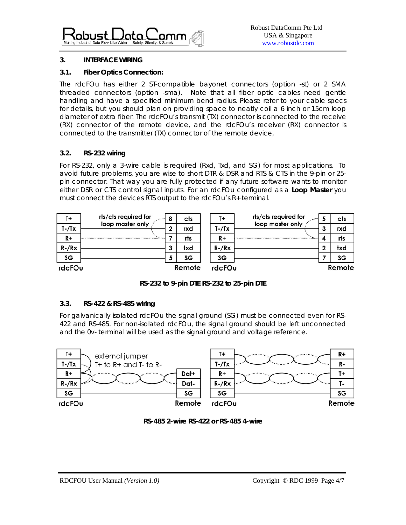

## **3. INTERFACE WIRING**

#### **3.1. Fiber Optics Connection:**

The rdcFOu has either 2 ST-compatible bayonet connectors (option -st) or 2 SMA threaded connectors (option -sma). Note that all fiber optic cables need gentle handling and have a specified minimum bend radius. Please refer to your cable specs for details, but you should plan on providing space to neatly coil a 6 inch or 15cm loop diameter of extra fiber. The rdcFOu's transmit (TX) connector is connected to the receive (RX) connector of the remote device, and the rdcFOu's receiver (RX) connector is connected to the transmitter (TX) connector of the remote device,

## **3.2. RS-232 wiring**

For RS-232, only a 3-wire cable is required (Rxd, Txd, and SG) for most applications. To avoid future problems, you are wise to short DTR & DSR and RTS & CTS in the 9-pin or 25 pin connector. That way you are fully protected if any future software wants to monitor either DSR or CTS control signal inputs. For an rdcFOu configured as a **Loop Master** you must connect the devices RTS output to the rdcFOu's R+ terminal.

| T+             | rts/cts required for | 8 | cts    | T+          | rts/cts required for | cts    |
|----------------|----------------------|---|--------|-------------|----------------------|--------|
| $T - T \times$ | loop master only     | 2 | rxd    | $T - T$     | loop master only     | rxd    |
| $R+$           |                      |   | rts    | R+          | $-1111111$           | rts    |
| $R$ -/ $Rx$    |                      | 3 | txd    | $R$ -/ $Rx$ |                      | txd    |
| SG             |                      | э | SG     | SG          |                      | SG     |
| rdcFOu         |                      |   | Remote | rdcFOu      |                      | Remote |

*RS-232 to 9-pin DTE RS-232 to 25-pin DTE* 

#### **3.3. RS-422 & RS-485 wiring**

For galvanically isolated rdcFOu the signal ground (SG) must be connected even for RS-422 and RS-485. For non-isolated rdcFOu, the signal ground should be left unconnected and the 0v- terminal will be used as the signal ground and voltage reference.



*RS-485 2-wire RS-422 or RS-485 4-wire*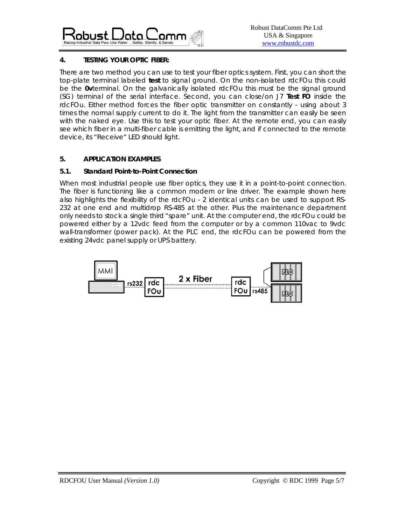

## **4. TESTING YOUR OPTIC FIBER:**

There are two method you can use to test your fiber optics system. First, you can short the top-plate terminal labeled **test** to signal ground. On the non-isolated rdcFOu this could be the **0v**terminal. On the galvanically isolated rdcFOu this must be the signal ground (SG) terminal of the serial interface. Second, you can close/on J7 **Test FO** inside the rdcFOu. Either method forces the fiber optic transmitter on constantly - using about 3 times the normal supply current to do it. The light from the transmitter can easily be seen with the naked eye. Use this to test your optic fiber. At the remote end, you can easily see which fiber in a multi-fiber cable is emitting the light, and if connected to the remote device, its "Receive" LED should light.

## **5. APPLICATION EXAMPLES**

#### **5.1. Standard Point-to-Point Connection**

When most industrial people use fiber optics, they use it in a point-to-point connection. The fiber is functioning like a common modem or line driver. The example shown here also highlights the flexibility of the rdcFOu - 2 identical units can be used to support RS-232 at one end and multidrop RS-485 at the other. Plus the maintenance department only needs to stock a single third "spare" unit. At the computer end, the rdcFOu could be powered either by a 12vdc feed from the computer or by a common 110vac to 9vdc wall-transformer (power pack). At the PLC end, the rdcFOu can be powered from the existing 24vdc panel supply or UPS battery.

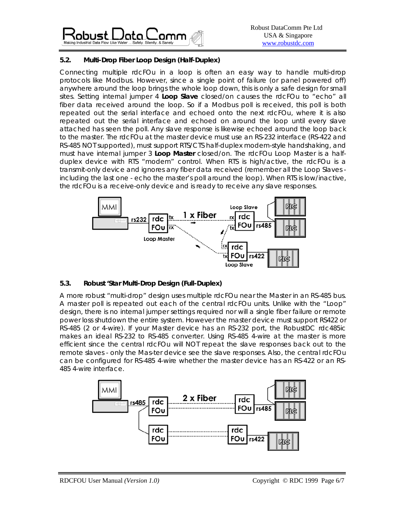

## **5.2. Multi-Drop Fiber Loop Design (Half-Duplex)**

Connecting multiple rdcFOu in a loop is often an easy way to handle multi-drop protocols like Modbus. However, since a single point of failure (or panel powered off) anywhere around the loop brings the whole loop down, this is only a safe design for small sites. Setting internal jumper 4 **Loop Slave** closed/on causes the rdcFOu to "echo" all fiber data received around the loop. So if a Modbus poll is received, this poll is both repeated out the serial interface and echoed onto the next rdcFOu, where it is also repeated out the serial interface and echoed on around the loop until every slave attached has seen the poll. Any slave response is likewise echoed around the loop back to the master. The rdcFOu at the master device *must use an RS-232 interface* (RS-422 and RS-485 NOT supported), *must support RTS/CTS* half-duplex modem-style handshaking, and must have internal jumper 3 **Loop Master** closed/on. The rdcFOu Loop Master is a halfduplex device with RTS "modem" control. When RTS is high/active, the rdcFOu is a transmit-only device and ignores any fiber data received (remember all the Loop Slaves including the last one - echo the master's poll around the loop). When RTS is low/inactive, the rdcFOu is a receive-only device and is ready to receive any slave responses.



## **5.3. Robust 'Star Multi-Drop Design (Full-Duplex)**

A more robust "multi-drop" design uses multiple rdcFOu near the Master in an RS-485 bus. A master poll is repeated out each of the central rdcFOu units. Unlike with the "Loop" design, there is no internal jumper settings required nor will a single fiber failure or remote power loss shutdown the entire system. However the master device *must support RS422 or RS-485 (2 or 4-wire)*. If your Master device has an RS-232 port, the RobustDC rdc485ic makes an ideal RS-232 to RS-485 converter. Using RS-485 4-wire at the master is more efficient since the central rdcFOu will NOT repeat the slave responses back out to the remote slaves - only the Mas-ter device see the slave responses. Also, the central rdcFOu can be configured for RS-485 4-wire whether the master device has an RS-422 or an RS-485 4-wire interface.